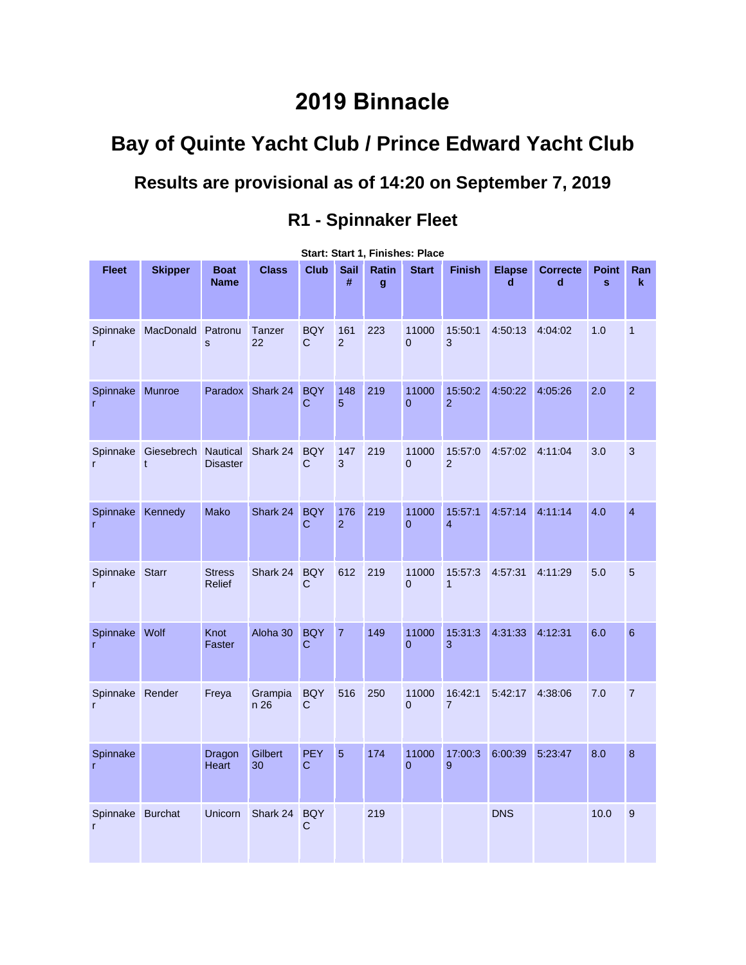# **2019 Binnacle**

# **Bay of Quinte Yacht Club / Prince Edward Yacht Club**

## **Results are provisional as of 14:20 on September 7, 2019**

### **R1 - Spinnaker Fleet**

| <b>Fleet</b>                     | <b>Skipper</b>     | <b>Boat</b><br><b>Name</b>  | <b>Class</b>        | <b>Club</b>                | Sail<br>#             | Ratin<br>$\mathbf{g}$ | <b>Start</b>            | <b>Finish</b>               | <b>Elapse</b><br>d | <b>Correcte</b><br>d | <b>Point</b><br>$\mathbf{s}$ | Ran<br>k       |
|----------------------------------|--------------------|-----------------------------|---------------------|----------------------------|-----------------------|-----------------------|-------------------------|-----------------------------|--------------------|----------------------|------------------------------|----------------|
| $\mathsf{r}$                     | Spinnake MacDonald | Patronu<br>s                | <b>Tanzer</b><br>22 | <b>BQY</b><br>$\mathbf C$  | 161<br>$\overline{2}$ | 223                   | 11000<br>$\overline{0}$ | 15:50:1<br>3                | 4:50:13            | 4:04:02              | 1.0                          | $\overline{1}$ |
| Spinnake Munroe<br>$\mathsf{r}$  |                    | Paradox                     | Shark 24            | <b>BQY</b><br>$\mathbf C$  | 148<br>5              | 219                   | 11000<br>$\mathbf{0}$   | 15:50:2<br>$\overline{2}$   | 4:50:22            | 4:05:26              | 2.0                          | $\overline{2}$ |
| Spinnake<br>$\mathsf{r}$         | Giesebrech<br>t    | Nautical<br><b>Disaster</b> | Shark 24            | <b>BQY</b><br>$\mathsf{C}$ | 147<br>3              | 219                   | 11000<br>$\mathbf 0$    | 15:57:0<br>$\overline{2}$   | 4:57:02            | 4:11:04              | 3.0                          | $\mathbf{3}$   |
| Spinnake<br>$\mathsf{r}$         | Kennedy            | <b>Mako</b>                 | Shark 24            | <b>BQY</b><br>$\mathbf C$  | 176<br>$\overline{2}$ | 219                   | 11000<br>$\overline{0}$ | 15:57:1<br>$\overline{4}$   | 4:57:14            | 4:11:14              | 4.0                          | $\overline{4}$ |
| Spinnake Starr<br>$\mathsf{r}$   |                    | <b>Stress</b><br>Relief     | Shark 24            | <b>BQY</b><br>C            | 612                   | 219                   | 11000<br>$\overline{0}$ | 15:57:3<br>$\mathbf{1}$     | 4:57:31            | 4:11:29              | 5.0                          | 5              |
| Spinnake<br>r                    | Wolf               | Knot<br>Faster              | Aloha 30            | <b>BQY</b><br>C            | $\overline{7}$        | 149                   | 11000<br>$\overline{0}$ | 15:31:3<br>3                | 4:31:33            | 4:12:31              | 6.0                          | $6\phantom{a}$ |
| Spinnake Render<br>$\mathsf{r}$  |                    | Freya                       | Grampia<br>n 26     | <b>BQY</b><br>$\mathsf C$  | 516                   | 250                   | 11000<br>$\overline{0}$ | 16:42:1<br>$\overline{7}$   | 5:42:17            | 4:38:06              | 7.0                          | $\overline{7}$ |
| Spinnake<br>$\mathsf{r}$         |                    | Dragon<br>Heart             | Gilbert<br>30       | <b>PEY</b><br>C            | 5                     | 174                   | 11000<br>$\mathbf 0$    | 17:00:3<br>$\boldsymbol{9}$ | 6:00:39            | 5:23:47              | 8.0                          | $\bf{8}$       |
| Spinnake Burchat<br>$\mathsf{r}$ |                    | Unicorn                     | Shark 24            | <b>BQY</b><br>C            |                       | 219                   |                         |                             | <b>DNS</b>         |                      | 10.0                         | $\overline{9}$ |

#### **Start: Start 1, Finishes: Place**